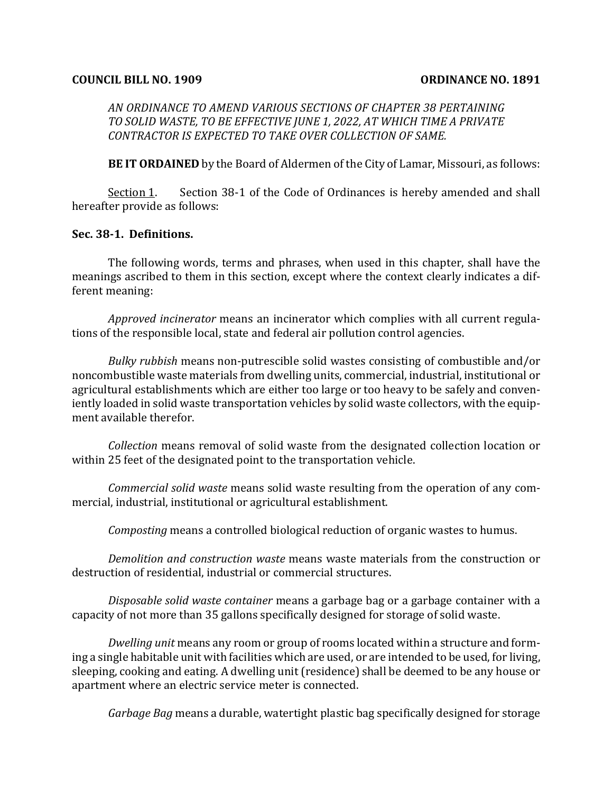#### **COUNCIL BILL NO. 1909 COUNCE NO. 1891**

*AN ORDINANCE TO AMEND VARIOUS SECTIONS OF CHAPTER 38 PERTAINING TO SOLID WASTE, TO BE EFFECTIVE JUNE 1, 2022, AT WHICH TIME A PRIVATE*  CONTRACTOR IS EXPECTED TO TAKE OVER COLLECTION OF SAME.

**BE IT ORDAINED** by the Board of Aldermen of the City of Lamar, Missouri, as follows:

Section 1. Section  $38-1$  of the Code of Ordinances is hereby amended and shall hereafter provide as follows:

#### **Sec. 38-1. Definitions.**

The following words, terms and phrases, when used in this chapter, shall have the meanings ascribed to them in this section, except where the context clearly indicates a different meaning:

*Approved incinerator* means an incinerator which complies with all current regulations of the responsible local, state and federal air pollution control agencies.

*Bulky rubbish* means non-putrescible solid wastes consisting of combustible and/or noncombustible waste materials from dwelling units, commercial, industrial, institutional or agricultural establishments which are either too large or too heavy to be safely and conveniently loaded in solid waste transportation vehicles by solid waste collectors, with the equipment available therefor.

*Collection* means removal of solid waste from the designated collection location or within 25 feet of the designated point to the transportation vehicle.

*Commercial solid waste* means solid waste resulting from the operation of any commercial, industrial, institutional or agricultural establishment.

*Composting* means a controlled biological reduction of organic wastes to humus.

*Demolition and construction waste* means waste materials from the construction or destruction of residential, industrial or commercial structures.

*Disposable solid waste container* means a garbage bag or a garbage container with a capacity of not more than 35 gallons specifically designed for storage of solid waste.

*Dwelling unit* means any room or group of rooms located within a structure and forming a single habitable unit with facilities which are used, or are intended to be used, for living, sleeping, cooking and eating. A dwelling unit (residence) shall be deemed to be any house or apartment where an electric service meter is connected.

*Garbage Bag* means a durable, watertight plastic bag specifically designed for storage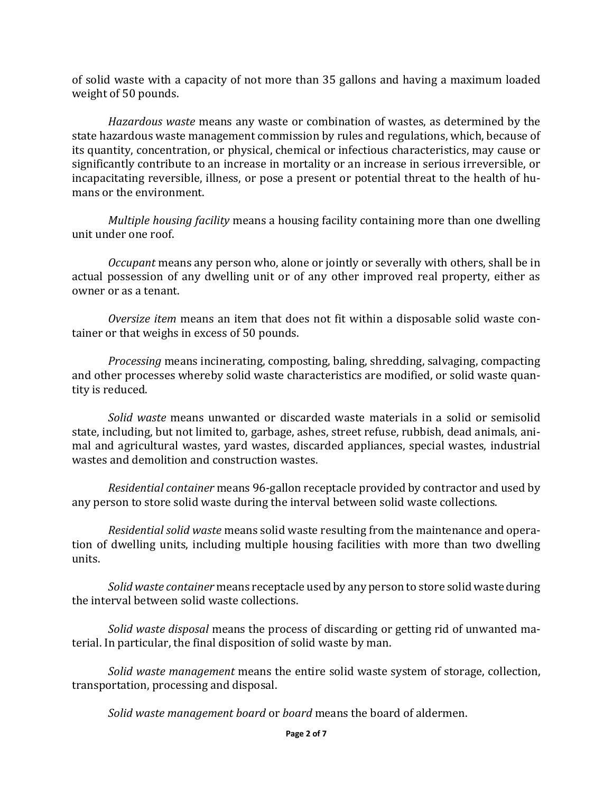of solid waste with a capacity of not more than 35 gallons and having a maximum loaded weight of 50 pounds.

*Hazardous* waste means any waste or combination of wastes, as determined by the state hazardous waste management commission by rules and regulations, which, because of its quantity, concentration, or physical, chemical or infectious characteristics, may cause or significantly contribute to an increase in mortality or an increase in serious irreversible, or incapacitating reversible, illness, or pose a present or potential threat to the health of humans or the environment.

*Multiple housing facility* means a housing facility containing more than one dwelling unit under one roof.

*Occupant* means any person who, alone or jointly or severally with others, shall be in actual possession of any dwelling unit or of any other improved real property, either as owner or as a tenant.

*Oversize item* means an item that does not fit within a disposable solid waste container or that weighs in excess of 50 pounds.

*Processing* means incinerating, composting, baling, shredding, salvaging, compacting and other processes whereby solid waste characteristics are modified, or solid waste quantity is reduced.

*Solid* waste means unwanted or discarded waste materials in a solid or semisolid state, including, but not limited to, garbage, ashes, street refuse, rubbish, dead animals, animal and agricultural wastes, vard wastes, discarded appliances, special wastes, industrial wastes and demolition and construction wastes.

*Residential container* means 96-gallon receptacle provided by contractor and used by any person to store solid waste during the interval between solid waste collections.

*Residential solid waste* means solid waste resulting from the maintenance and operation of dwelling units, including multiple housing facilities with more than two dwelling units. 

*Solid* waste container means receptacle used by any person to store solid waste during the interval between solid waste collections.

*Solid* waste *disposal* means the process of discarding or getting rid of unwanted material. In particular, the final disposition of solid waste by man.

*Solid* waste management means the entire solid waste system of storage, collection, transportation, processing and disposal.

*Solid* waste management board or board means the board of aldermen.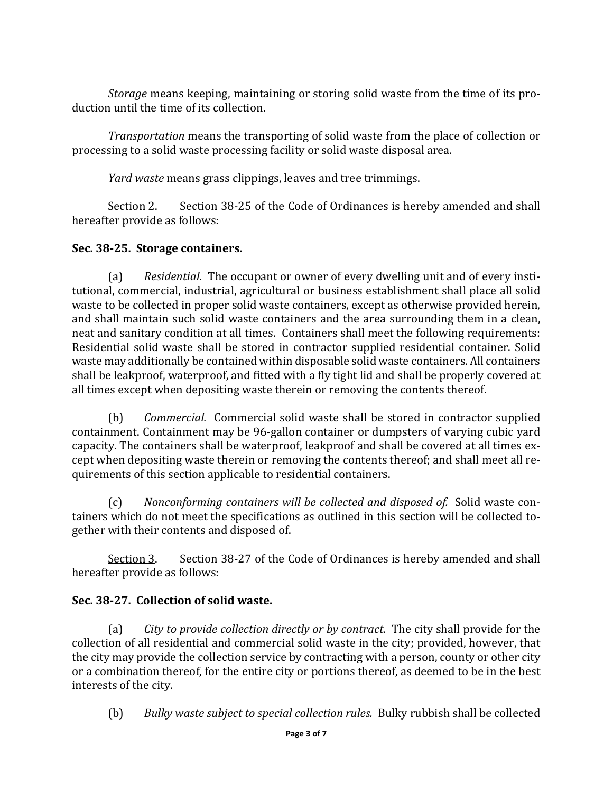*Storage* means keeping, maintaining or storing solid waste from the time of its production until the time of its collection.

*Transportation* means the transporting of solid waste from the place of collection or processing to a solid waste processing facility or solid waste disposal area.

*Yard* waste means grass clippings, leaves and tree trimmings.

Section 2. Section 38-25 of the Code of Ordinances is hereby amended and shall hereafter provide as follows:

#### **Sec. 38-25. Storage containers.**

(a) *Residential.* The occupant or owner of every dwelling unit and of every institutional, commercial, industrial, agricultural or business establishment shall place all solid waste to be collected in proper solid waste containers, except as otherwise provided herein, and shall maintain such solid waste containers and the area surrounding them in a clean, neat and sanitary condition at all times. Containers shall meet the following requirements: Residential solid waste shall be stored in contractor supplied residential container. Solid waste may additionally be contained within disposable solid waste containers. All containers shall be leakproof, waterproof, and fitted with a fly tight lid and shall be properly covered at all times except when depositing waste therein or removing the contents thereof.

(b) *Commercial.* Commercial solid waste shall be stored in contractor supplied containment. Containment may be 96-gallon container or dumpsters of varying cubic yard capacity. The containers shall be waterproof, leakproof and shall be covered at all times except when depositing waste therein or removing the contents thereof; and shall meet all requirements of this section applicable to residential containers.

(c) Nonconforming containers will be collected and disposed of. Solid waste containers which do not meet the specifications as outlined in this section will be collected together with their contents and disposed of.

 $Section 3.$  Section 38-27 of the Code of Ordinances is hereby amended and shall hereafter provide as follows:

## Sec. 38-27. Collection of solid waste.

(a) *City to provide collection directly or by contract.* The city shall provide for the collection of all residential and commercial solid waste in the city; provided, however, that the city may provide the collection service by contracting with a person, county or other city or a combination thereof, for the entire city or portions thereof, as deemed to be in the best interests of the city.

(b) *Bulky waste subject to special collection rules.* Bulky rubbish shall be collected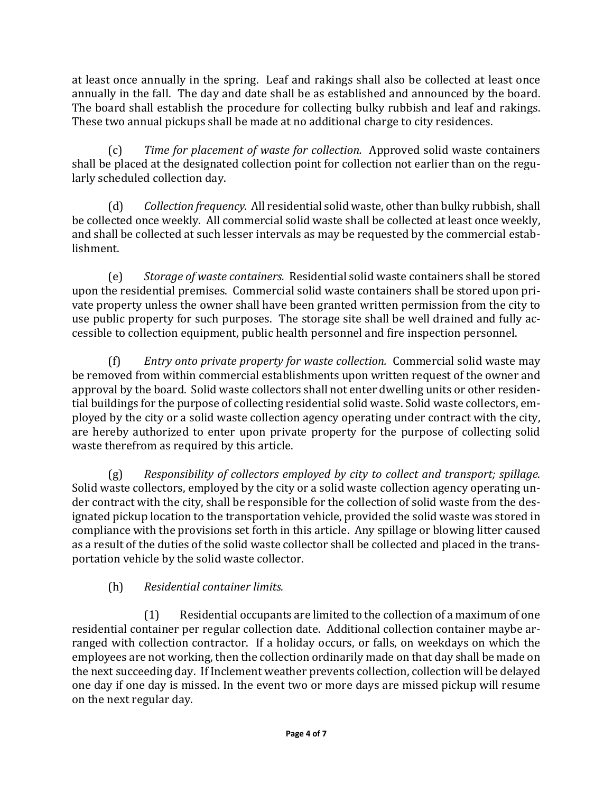at least once annually in the spring. Leaf and rakings shall also be collected at least once annually in the fall. The day and date shall be as established and announced by the board. The board shall establish the procedure for collecting bulky rubbish and leaf and rakings. These two annual pickups shall be made at no additional charge to city residences.

(c) *Time for placement of waste for collection.* Approved solid waste containers shall be placed at the designated collection point for collection not earlier than on the regularly scheduled collection day.

(d) *Collection frequency.* All residential solid waste, other than bulky rubbish, shall be collected once weekly. All commercial solid waste shall be collected at least once weekly, and shall be collected at such lesser intervals as may be requested by the commercial establishment.

(e) Storage of waste containers. Residential solid waste containers shall be stored upon the residential premises. Commercial solid waste containers shall be stored upon private property unless the owner shall have been granted written permission from the city to use public property for such purposes. The storage site shall be well drained and fully accessible to collection equipment, public health personnel and fire inspection personnel.

(f) Entry onto private property for waste collection. Commercial solid waste may be removed from within commercial establishments upon written request of the owner and approval by the board. Solid waste collectors shall not enter dwelling units or other residential buildings for the purpose of collecting residential solid waste. Solid waste collectors, employed by the city or a solid waste collection agency operating under contract with the city, are hereby authorized to enter upon private property for the purpose of collecting solid waste therefrom as required by this article.

(g) Responsibility of collectors employed by city to collect and transport; spillage. Solid waste collectors, employed by the city or a solid waste collection agency operating under contract with the city, shall be responsible for the collection of solid waste from the designated pickup location to the transportation vehicle, provided the solid waste was stored in compliance with the provisions set forth in this article. Any spillage or blowing litter caused as a result of the duties of the solid waste collector shall be collected and placed in the transportation vehicle by the solid waste collector.

# (h) *Residential container limits.*

 $(1)$  Residential occupants are limited to the collection of a maximum of one residential container per regular collection date. Additional collection container maybe arranged with collection contractor. If a holiday occurs, or falls, on weekdays on which the employees are not working, then the collection ordinarily made on that day shall be made on the next succeeding day. If Inclement weather prevents collection, collection will be delayed one day if one day is missed. In the event two or more days are missed pickup will resume on the next regular day.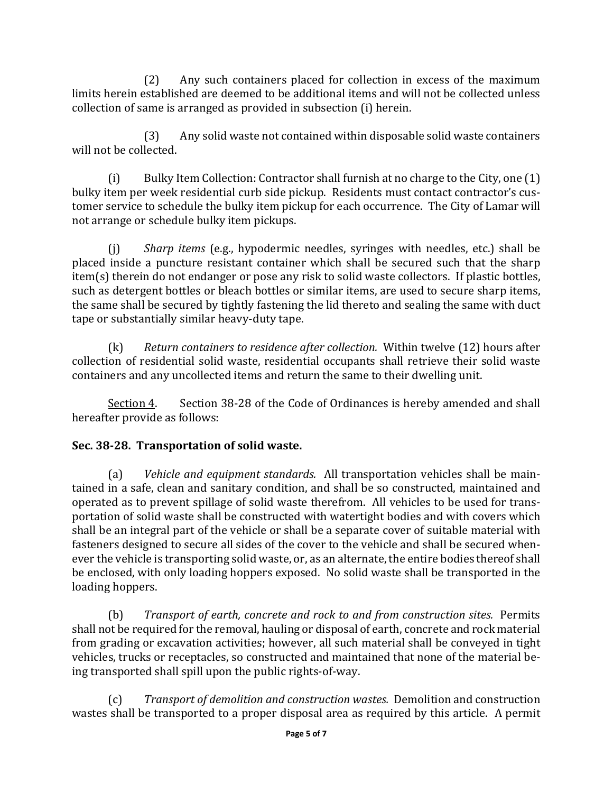(2) Any such containers placed for collection in excess of the maximum limits herein established are deemed to be additional items and will not be collected unless collection of same is arranged as provided in subsection (i) herein.

(3) Any solid waste not contained within disposable solid waste containers will not be collected.

(i) Bulky Item Collection: Contractor shall furnish at no charge to the City, one  $(1)$ bulky item per week residential curb side pickup. Residents must contact contractor's customer service to schedule the bulky item pickup for each occurrence. The City of Lamar will not arrange or schedule bulky item pickups.

(j) *Sharp items* (e.g., hypodermic needles, syringes with needles, etc.) shall be placed inside a puncture resistant container which shall be secured such that the sharp item(s) therein do not endanger or pose any risk to solid waste collectors. If plastic bottles, such as detergent bottles or bleach bottles or similar items, are used to secure sharp items, the same shall be secured by tightly fastening the lid thereto and sealing the same with duct tape or substantially similar heavy-duty tape.

(k) Return containers to residence after collection. Within twelve (12) hours after collection of residential solid waste, residential occupants shall retrieve their solid waste containers and any uncollected items and return the same to their dwelling unit.

Section 4. Section 38-28 of the Code of Ordinances is hereby amended and shall hereafter provide as follows:

## **Sec. 38-28. Transportation of solid waste.**

(a) Vehicle and equipment standards. All transportation vehicles shall be maintained in a safe, clean and sanitary condition, and shall be so constructed, maintained and operated as to prevent spillage of solid waste therefrom. All vehicles to be used for transportation of solid waste shall be constructed with watertight bodies and with covers which shall be an integral part of the vehicle or shall be a separate cover of suitable material with fasteners designed to secure all sides of the cover to the vehicle and shall be secured whenever the vehicle is transporting solid waste, or, as an alternate, the entire bodies thereof shall be enclosed, with only loading hoppers exposed. No solid waste shall be transported in the loading hoppers.

(b) Transport of earth, concrete and rock to and from construction sites. Permits shall not be required for the removal, hauling or disposal of earth, concrete and rock material from grading or excavation activities; however, all such material shall be conveyed in tight vehicles, trucks or receptacles, so constructed and maintained that none of the material being transported shall spill upon the public rights-of-way.

(c) *Transport of demolition and construction wastes.* Demolition and construction wastes shall be transported to a proper disposal area as required by this article. A permit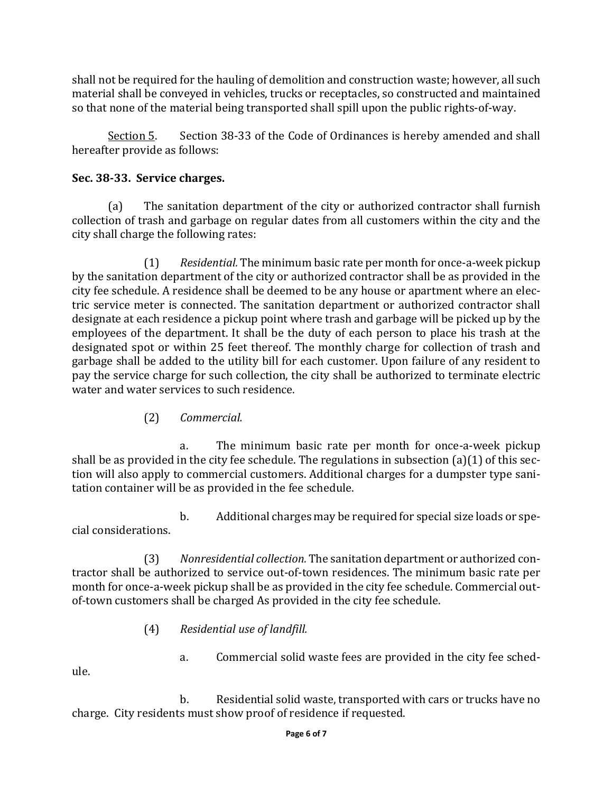shall not be required for the hauling of demolition and construction waste; however, all such material shall be conveyed in vehicles, trucks or receptacles, so constructed and maintained so that none of the material being transported shall spill upon the public rights-of-way.

 $Section 5.$  Section 38-33 of the Code of Ordinances is hereby amended and shall hereafter provide as follows:

#### **Sec. 38-33. Service charges.**

(a) The sanitation department of the city or authorized contractor shall furnish collection of trash and garbage on regular dates from all customers within the city and the city shall charge the following rates:

(1) Residential. The minimum basic rate per month for once-a-week pickup by the sanitation department of the city or authorized contractor shall be as provided in the city fee schedule. A residence shall be deemed to be any house or apartment where an electric service meter is connected. The sanitation department or authorized contractor shall designate at each residence a pickup point where trash and garbage will be picked up by the employees of the department. It shall be the duty of each person to place his trash at the designated spot or within 25 feet thereof. The monthly charge for collection of trash and garbage shall be added to the utility bill for each customer. Upon failure of any resident to pay the service charge for such collection, the city shall be authorized to terminate electric water and water services to such residence.

(2) *Commercial.*

a. The minimum basic rate per month for once-a-week pickup shall be as provided in the city fee schedule. The regulations in subsection  $(a)(1)$  of this section will also apply to commercial customers. Additional charges for a dumpster type sanitation container will be as provided in the fee schedule.

b. Additional charges may be required for special size loads or special considerations. 

(3) Nonresidential collection. The sanitation department or authorized contractor shall be authorized to service out-of-town residences. The minimum basic rate per month for once-a-week pickup shall be as provided in the city fee schedule. Commercial outof-town customers shall be charged As provided in the city fee schedule.

- (4) *Residential use of landfill.*
	- a. Commercial solid waste fees are provided in the city fee sched-

ule. 

b. Residential solid waste, transported with cars or trucks have no charge. City residents must show proof of residence if requested.